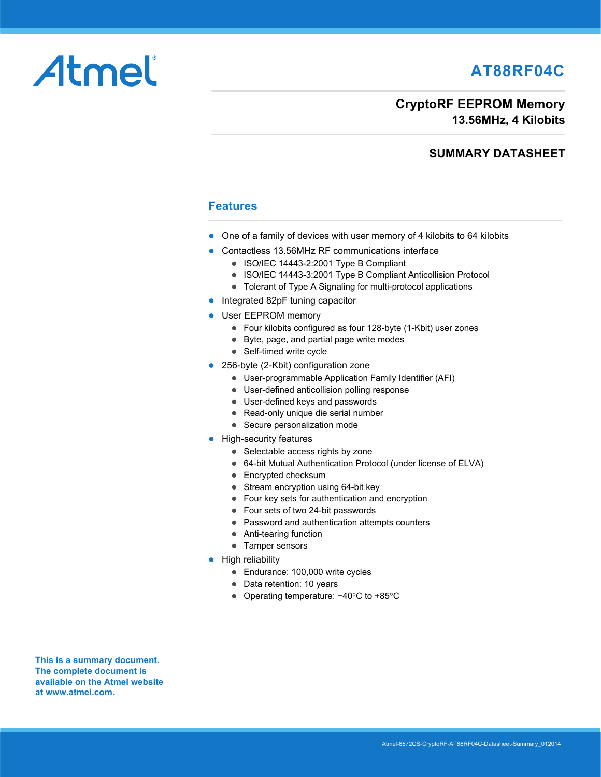# **AT88RF04C**

# Atmel

#### **CryptoRF EEPROM Memory 13.56MHz, 4 Kilobits**

#### **SUMMARY DATASHEET**

#### **Features**

- One of a family of devices with user memory of 4 kilobits to 64 kilobits
- Contactless 13.56MHz RF communications interface
	- **ISO/IEC 14443-2:2001 Type B Compliant**
	- ISO/IEC 14443-3:2001 Type B Compliant Anticollision Protocol
	- Tolerant of Type A Signaling for multi-protocol applications
- Integrated 82pF tuning capacitor
- User EEPROM memory
	- Four kilobits configured as four 128-byte (1-Kbit) user zones
	- Byte, page, and partial page write modes
	- Self-timed write cycle
- 256-byte (2-Kbit) configuration zone
	- User-programmable Application Family Identifier (AFI)
	- User-defined anticollision polling response
	- User-defined keys and passwords
	- Read-only unique die serial number
	- Secure personalization mode
- **•** High-security features
	- Selectable access rights by zone
	- 64-bit Mutual Authentication Protocol (under license of ELVA)
	- Encrypted checksum
	- Stream encryption using 64-bit key
	- Four key sets for authentication and encryption
	- Four sets of two 24-bit passwords
	- Password and authentication attempts counters
	- Anti-tearing function
	- Tamper sensors
- $\bullet$  High reliability
	- Endurance: 100,000 write cycles
	- Data retention: 10 years
	- Operating temperature: −40°C to +85°C

**This is a summary document. The complete document is [available on the Atmel website](http://www.atmel.com)  at www.atmel.com.**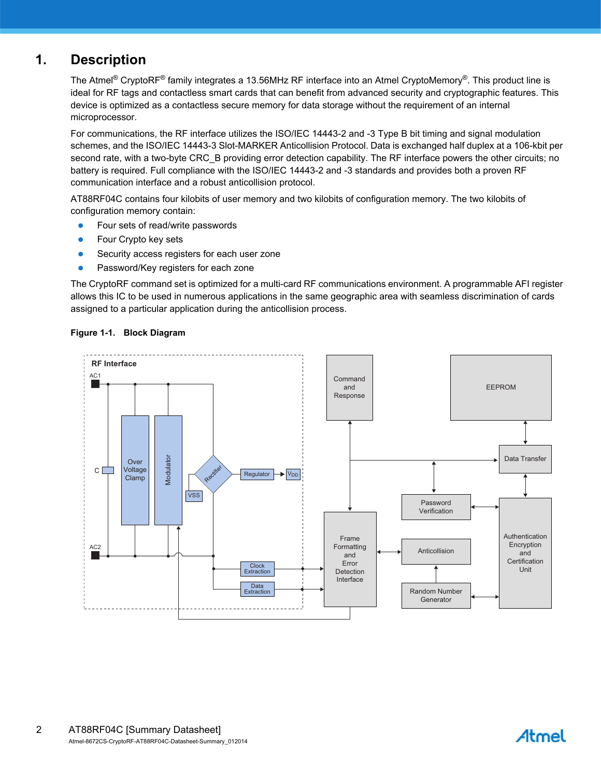## **1. Description**

The Atmel® CryptoRF® family integrates a 13.56MHz RF interface into an Atmel CryptoMemory®. This product line is ideal for RF tags and contactless smart cards that can benefit from advanced security and cryptographic features. This device is optimized as a contactless secure memory for data storage without the requirement of an internal microprocessor.

For communications, the RF interface utilizes the ISO/IEC 14443-2 and -3 Type B bit timing and signal modulation schemes, and the ISO/IEC 14443-3 Slot-MARKER Anticollision Protocol. Data is exchanged half duplex at a 106-kbit per second rate, with a two-byte CRC B providing error detection capability. The RF interface powers the other circuits; no battery is required. Full compliance with the ISO/IEC 14443-2 and -3 standards and provides both a proven RF communication interface and a robust anticollision protocol.

AT88RF04C contains four kilobits of user memory and two kilobits of configuration memory. The two kilobits of configuration memory contain:

- **•** Four sets of read/write passwords
- Four Crypto key sets
- **Security access registers for each user zone**
- **•** Password/Key registers for each zone

The CryptoRF command set is optimized for a multi-card RF communications environment. A programmable AFI register allows this IC to be used in numerous applications in the same geographic area with seamless discrimination of cards assigned to a particular application during the anticollision process.



#### **Figure 1-1. Block Diagram**

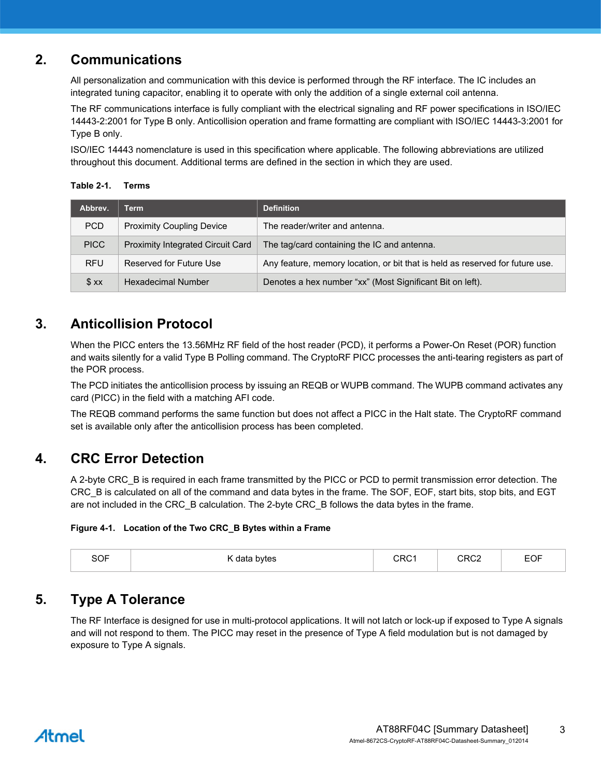## **2. Communications**

All personalization and communication with this device is performed through the RF interface. The IC includes an integrated tuning capacitor, enabling it to operate with only the addition of a single external coil antenna.

The RF communications interface is fully compliant with the electrical signaling and RF power specifications in ISO/IEC 14443-2:2001 for Type B only. Anticollision operation and frame formatting are compliant with ISO/IEC 14443-3:2001 for Type B only.

ISO/IEC 14443 nomenclature is used in this specification where applicable. The following abbreviations are utilized throughout this document. Additional terms are defined in the section in which they are used.

**Table 2-1. Terms**

| Abbrev.     | Term                                     | <b>Definition</b>                                                             |
|-------------|------------------------------------------|-------------------------------------------------------------------------------|
| <b>PCD</b>  | <b>Proximity Coupling Device</b>         | The reader/writer and antenna.                                                |
| <b>PICC</b> | <b>Proximity Integrated Circuit Card</b> | The tag/card containing the IC and antenna.                                   |
| <b>RFU</b>  | Reserved for Future Use                  | Any feature, memory location, or bit that is held as reserved for future use. |
| \$ xx       | <b>Hexadecimal Number</b>                | Denotes a hex number "xx" (Most Significant Bit on left).                     |

## **3. Anticollision Protocol**

When the PICC enters the 13.56MHz RF field of the host reader (PCD), it performs a Power-On Reset (POR) function and waits silently for a valid Type B Polling command. The CryptoRF PICC processes the anti-tearing registers as part of the POR process.

The PCD initiates the anticollision process by issuing an REQB or WUPB command. The WUPB command activates any card (PICC) in the field with a matching AFI code.

The REQB command performs the same function but does not affect a PICC in the Halt state. The CryptoRF command set is available only after the anticollision process has been completed.

## **4. CRC Error Detection**

A 2-byte CRC\_B is required in each frame transmitted by the PICC or PCD to permit transmission error detection. The CRC\_B is calculated on all of the command and data bytes in the frame. The SOF, EOF, start bits, stop bits, and EGT are not included in the CRC\_B calculation. The 2-byte CRC\_B follows the data bytes in the frame.

#### **Figure 4-1. Location of the Two CRC\_B Bytes within a Frame**

| $\sim$ $-$<br><b>SOF</b> | bytes<br>. data<br>$-$<br>. | ∗ה חי<br>____ | רחםי<br>_____ | $ -$<br>EUI |
|--------------------------|-----------------------------|---------------|---------------|-------------|
|                          |                             |               |               |             |

## **5. Type A Tolerance**

The RF Interface is designed for use in multi-protocol applications. It will not latch or lock-up if exposed to Type A signals and will not respond to them. The PICC may reset in the presence of Type A field modulation but is not damaged by exposure to Type A signals.

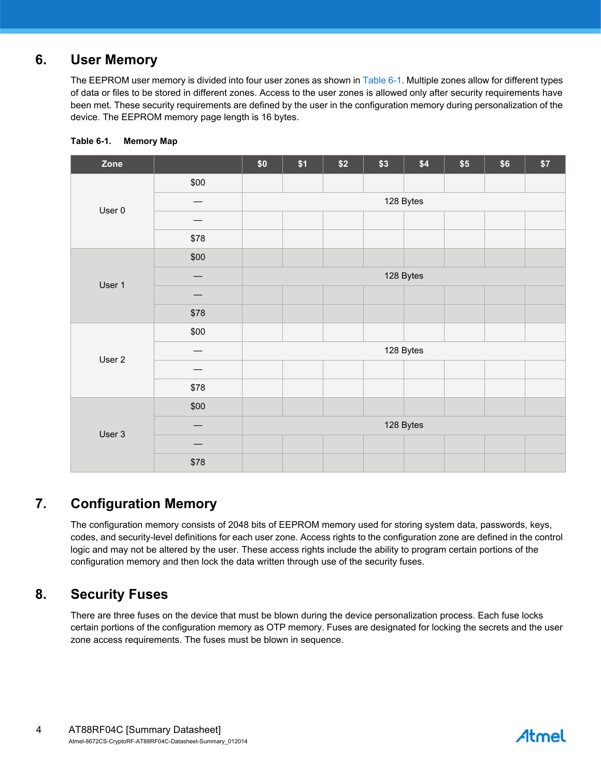## **6. User Memory**

The EEPROM user memory is divided into four user zones as shown in [Table 6-1](#page-3-0). Multiple zones allow for different types of data or files to be stored in different zones. Access to the user zones is allowed only after security requirements have been met. These security requirements are defined by the user in the configuration memory during personalization of the device. The EEPROM memory page length is 16 bytes.

| Zone   |      | $$0$$     | \$1 | \$2 | \$3 | \$4       | \$5 | \$6 | \$7 |
|--------|------|-----------|-----|-----|-----|-----------|-----|-----|-----|
|        | \$00 |           |     |     |     |           |     |     |     |
| User 0 |      | 128 Bytes |     |     |     |           |     |     |     |
|        |      |           |     |     |     |           |     |     |     |
|        | \$78 |           |     |     |     |           |     |     |     |
|        | \$00 |           |     |     |     |           |     |     |     |
| User 1 |      | 128 Bytes |     |     |     |           |     |     |     |
|        |      |           |     |     |     |           |     |     |     |
|        | \$78 |           |     |     |     |           |     |     |     |
|        | \$00 |           |     |     |     |           |     |     |     |
| User 2 |      | 128 Bytes |     |     |     |           |     |     |     |
|        |      |           |     |     |     |           |     |     |     |
|        | \$78 |           |     |     |     |           |     |     |     |
| User 3 | \$00 |           |     |     |     |           |     |     |     |
|        |      |           |     |     |     | 128 Bytes |     |     |     |
|        |      |           |     |     |     |           |     |     |     |
|        | \$78 |           |     |     |     |           |     |     |     |

#### <span id="page-3-0"></span>**Table 6-1. Memory Map**

## **7. Configuration Memory**

The configuration memory consists of 2048 bits of EEPROM memory used for storing system data, passwords, keys, codes, and security-level definitions for each user zone. Access rights to the configuration zone are defined in the control logic and may not be altered by the user. These access rights include the ability to program certain portions of the configuration memory and then lock the data written through use of the security fuses.

## **8. Security Fuses**

There are three fuses on the device that must be blown during the device personalization process. Each fuse locks certain portions of the configuration memory as OTP memory. Fuses are designated for locking the secrets and the user zone access requirements. The fuses must be blown in sequence.

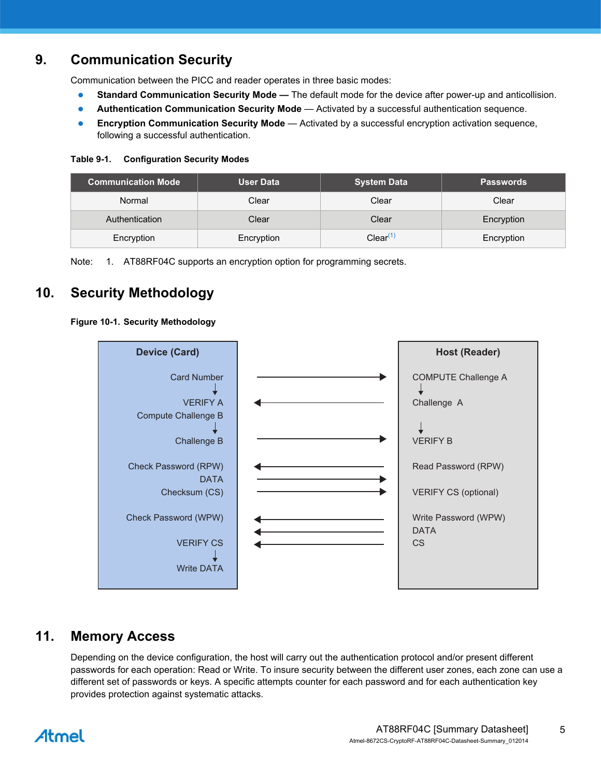## **9. Communication Security**

Communication between the PICC and reader operates in three basic modes:

- **Standard Communication Security Mode —** The default mode for the device after power-up and anticollision.
- **Authentication Communication Security Mode** Activated by a successful authentication sequence.
- **Encryption Communication Security Mode** Activated by a successful encryption activation sequence, following a successful authentication.

#### **Table 9-1. Configuration Security Modes**

| <b>Communication Mode</b> | <b>User Data</b> | <b>System Data</b> | <b>Passwords</b> |
|---------------------------|------------------|--------------------|------------------|
| Normal                    | Clear            | Clear              | Clear            |
| Authentication            | Clear            | Clear              | Encryption       |
| Encryption                | Encryption       | $Clear^{(1)}$      | Encryption       |

<span id="page-4-0"></span>Note: 1. AT88RF04C supports an encryption option for programming secrets.

## **10. Security Methodology**

#### **Figure 10-1. Security Methodology**



## **11. Memory Access**

Depending on the device configuration, the host will carry out the authentication protocol and/or present different passwords for each operation: Read or Write. To insure security between the different user zones, each zone can use a different set of passwords or keys. A specific attempts counter for each password and for each authentication key provides protection against systematic attacks.

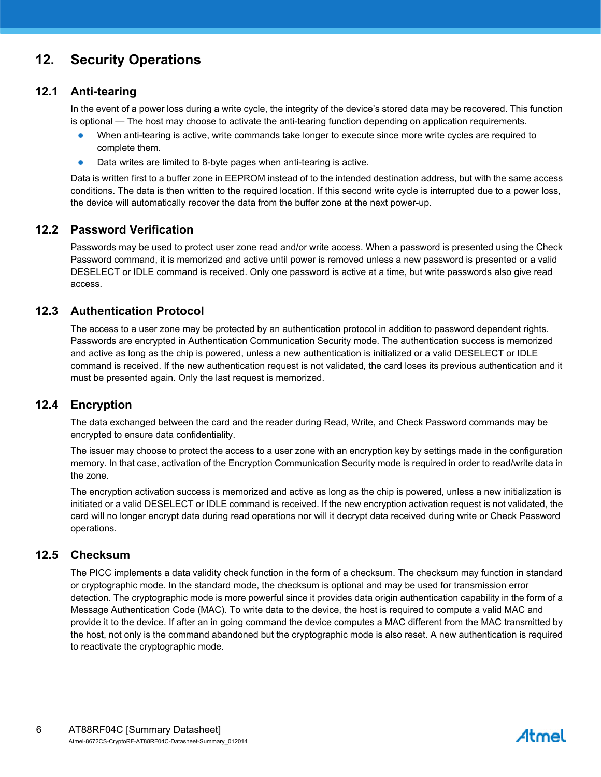## **12. Security Operations**

#### **12.1 Anti-tearing**

In the event of a power loss during a write cycle, the integrity of the device's stored data may be recovered. This function is optional — The host may choose to activate the anti-tearing function depending on application requirements.

- When anti-tearing is active, write commands take longer to execute since more write cycles are required to complete them.
- Data writes are limited to 8-byte pages when anti-tearing is active.

Data is written first to a buffer zone in EEPROM instead of to the intended destination address, but with the same access conditions. The data is then written to the required location. If this second write cycle is interrupted due to a power loss, the device will automatically recover the data from the buffer zone at the next power-up.

#### **12.2 Password Verification**

Passwords may be used to protect user zone read and/or write access. When a password is presented using the Check Password command, it is memorized and active until power is removed unless a new password is presented or a valid DESELECT or IDLE command is received. Only one password is active at a time, but write passwords also give read access.

#### **12.3 Authentication Protocol**

The access to a user zone may be protected by an authentication protocol in addition to password dependent rights. Passwords are encrypted in Authentication Communication Security mode. The authentication success is memorized and active as long as the chip is powered, unless a new authentication is initialized or a valid DESELECT or IDLE command is received. If the new authentication request is not validated, the card loses its previous authentication and it must be presented again. Only the last request is memorized.

#### **12.4 Encryption**

The data exchanged between the card and the reader during Read, Write, and Check Password commands may be encrypted to ensure data confidentiality.

The issuer may choose to protect the access to a user zone with an encryption key by settings made in the configuration memory. In that case, activation of the Encryption Communication Security mode is required in order to read/write data in the zone.

The encryption activation success is memorized and active as long as the chip is powered, unless a new initialization is initiated or a valid DESELECT or IDLE command is received. If the new encryption activation request is not validated, the card will no longer encrypt data during read operations nor will it decrypt data received during write or Check Password operations.

#### **12.5 Checksum**

The PICC implements a data validity check function in the form of a checksum. The checksum may function in standard or cryptographic mode. In the standard mode, the checksum is optional and may be used for transmission error detection. The cryptographic mode is more powerful since it provides data origin authentication capability in the form of a Message Authentication Code (MAC). To write data to the device, the host is required to compute a valid MAC and provide it to the device. If after an in going command the device computes a MAC different from the MAC transmitted by the host, not only is the command abandoned but the cryptographic mode is also reset. A new authentication is required to reactivate the cryptographic mode.

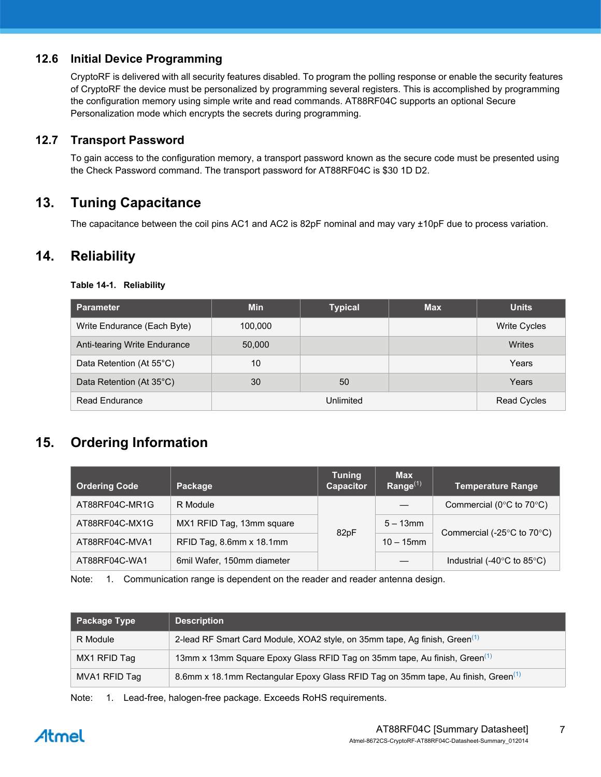#### **12.6 Initial Device Programming**

CryptoRF is delivered with all security features disabled. To program the polling response or enable the security features of CryptoRF the device must be personalized by programming several registers. This is accomplished by programming the configuration memory using simple write and read commands. AT88RF04C supports an optional Secure Personalization mode which encrypts the secrets during programming.

#### **12.7 Transport Password**

To gain access to the configuration memory, a transport password known as the secure code must be presented using the Check Password command. The transport password for AT88RF04C is \$30 1D D2.

## **13. Tuning Capacitance**

The capacitance between the coil pins AC1 and AC2 is 82pF nominal and may vary ±10pF due to process variation.

#### **14. Reliability**

| Table 14-1. | <b>Reliability</b> |
|-------------|--------------------|
|-------------|--------------------|

| <b>Parameter</b>             | <b>Min</b> | <b>Typical</b>     | <b>Max</b> | <b>Units</b>        |
|------------------------------|------------|--------------------|------------|---------------------|
| Write Endurance (Each Byte)  | 100,000    |                    |            | <b>Write Cycles</b> |
| Anti-tearing Write Endurance | 50,000     |                    |            | Writes              |
| Data Retention (At 55°C)     | 10         |                    |            | Years               |
| Data Retention (At 35°C)     | 30         | 50                 |            | Years               |
| <b>Read Endurance</b>        |            | <b>Read Cycles</b> |            |                     |

## **15. Ordering Information**

| <b>Ordering Code</b> | Package                    | <b>Tuning</b><br>Capacitor | <b>Max</b><br>Range $(1)$ | <b>Temperature Range</b>                       |
|----------------------|----------------------------|----------------------------|---------------------------|------------------------------------------------|
| AT88RF04C-MR1G       | R Module                   |                            |                           | Commercial ( $0^{\circ}$ C to $70^{\circ}$ C)  |
| AT88RF04C-MX1G       | MX1 RFID Tag, 13mm square  | 82pF                       | $5 - 13$ mm               | Commercial (-25 $\degree$ C to 70 $\degree$ C) |
| AT88RF04C-MVA1       | RFID Tag, 8.6mm x 18.1mm   |                            | $10 - 15$ mm              |                                                |
| AT88RF04C-WA1        | 6mil Wafer, 150mm diameter |                            |                           | Industrial (-40 $\degree$ C to 85 $\degree$ C) |

<span id="page-6-0"></span>Note: 1. Communication range is dependent on the reader and reader antenna design.

| <b>Package Type</b> | <b>Description</b>                                                                            |
|---------------------|-----------------------------------------------------------------------------------------------|
| R Module            | 2-lead RF Smart Card Module, XOA2 style, on 35mm tape, Ag finish, Green <sup>(1)</sup>        |
| MX1 RFID Tag        | 13mm x 13mm Square Epoxy Glass RFID Tag on 35mm tape, Au finish, Green <sup>(1)</sup>         |
| MVA1 RFID Tag       | 8.6mm x 18.1mm Rectangular Epoxy Glass RFID Tag on 35mm tape, Au finish, Green <sup>(1)</sup> |

<span id="page-6-1"></span>Note: 1. Lead-free, halogen-free package. Exceeds RoHS requirements.

# Atmel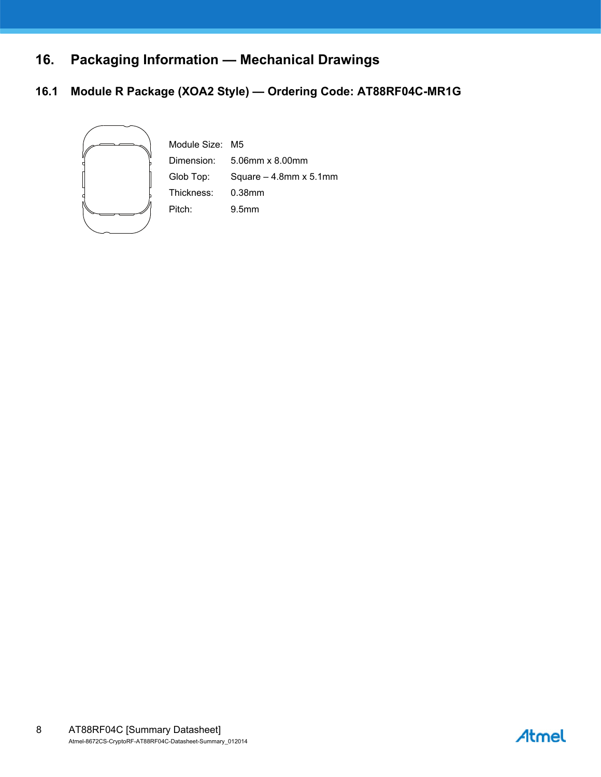# **16. Packaging Information — Mechanical Drawings**

#### **16.1 Module R Package (XOA2 Style) — Ordering Code: AT88RF04C-MR1G**



Module Size: M5 Dimension: 5.06mm x 8.00mm Glob Top: Square – 4.8mm x 5.1mm Thickness: 0.38mm Pitch: 9.5mm

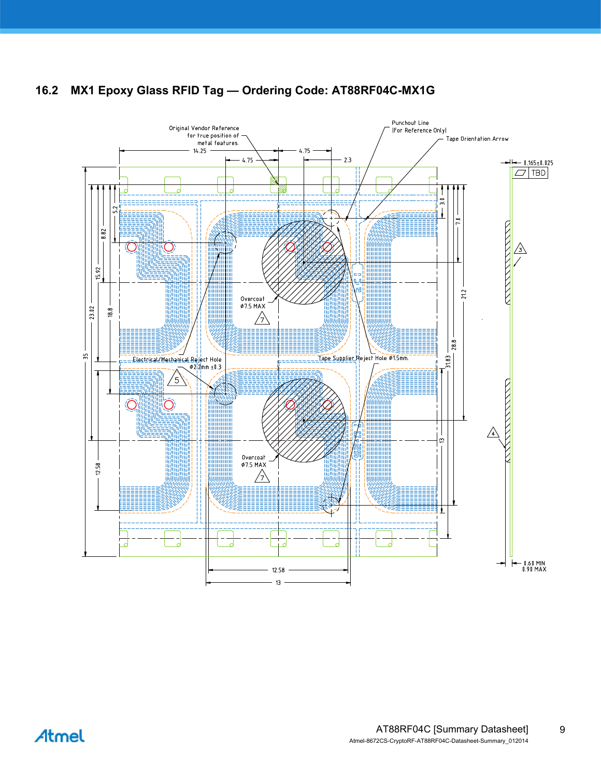



Atmel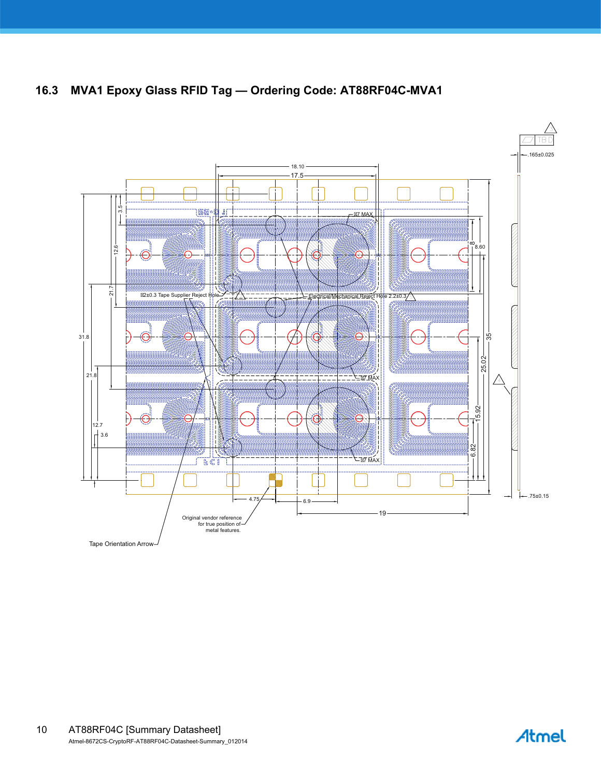**16.3 MVA1 Epoxy Glass RFID Tag — Ordering Code: AT88RF04C-MVA1**



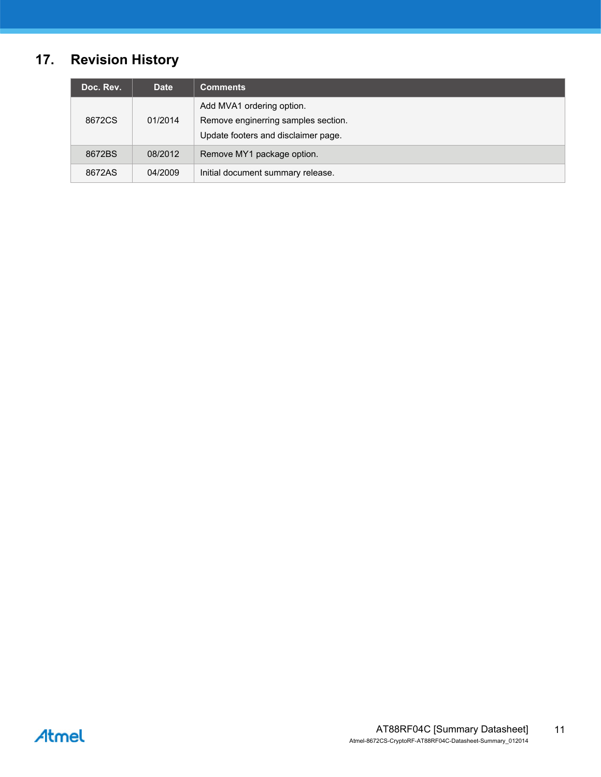# **17. Revision History**

| Doc. Rev. | <b>Date</b> | <b>Comments</b>                                                                                         |
|-----------|-------------|---------------------------------------------------------------------------------------------------------|
| 8672CS    | 01/2014     | Add MVA1 ordering option.<br>Remove enginerring samples section.<br>Update footers and disclaimer page. |
| 8672BS    | 08/2012     | Remove MY1 package option.                                                                              |
| 8672AS    | 04/2009     | Initial document summary release.                                                                       |